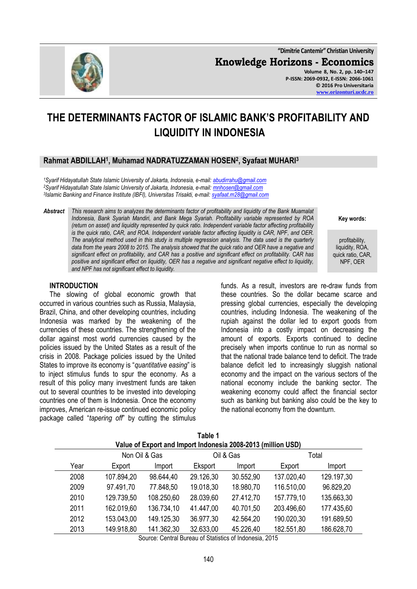**"Dimitrie Cantemir" Christian University Knowledge Horizons - Economics Volume 8, No. 2, pp. 140–147 P-ISSN: 2069-0932, E-ISSN: 2066-1061 © 2016 Pro Universitaria [www.orizonturi.ucdc.ro](http://www.orizonturi.ucdc.ro/)**

# **THE DETERMINANTS FACTOR OF ISLAMIC BANK'S PROFITABILITY AND LIQUIDITY IN INDONESIA**

# **Rahmat ABDILLAH<sup>1</sup> , Muhamad NADRATUZZAMAN HOSEN<sup>2</sup> , Syafaat MUHARI<sup>3</sup>**

*<sup>1</sup>Syarif Hidayatullah State Islamic University of Jakarta, Indonesia, e-mail: [abudirrahu@gmail.com](mailto:abudirrahu@gmail.com) <sup>2</sup>Syarif Hidayatullah State Islamic University of Jakarta, Indonesia, e-mail: [mnhosen@gmail.com](mailto:mnhosen@gmail.com) 3 Islamic Banking and Finance Institute (IBFI), Universitas Trisakti, e-mail: [syafaat.m28@gmail.com](mailto:syafaat.m28@gmail.com)*

*Abstract This research aims to analyzes the determinants factor of profitability and liquidity of the Bank Muamalat Indonesia, Bank Syariah Mandiri, and Bank Mega Syariah. Profitability variable represented by ROA (return on asset) and liquidity represented by quick ratio. Independent variable factor affecting profitability is the quick ratio, CAR, and ROA. Independent variable factor affecting liquidity is CAR, NPF, and OER. The analytical method used in this study is multiple regression analysis. The data used is the quarterly data from the years 2008 to 2015. The analysis showed that the quick ratio and OER have a negative and significant effect on profitability, and CAR has a positive and significant effect on profitability. CAR has positive and significant effect on liquidity, OER has a negative and significant negative effect to liquidity, and NPF has not significant effect to liquidity.*

#### **INTRODUCTION**

The slowing of global economic growth that occurred in various countries such as Russia, Malaysia, Brazil, China, and other developing countries, including Indonesia was marked by the weakening of the currencies of these countries. The strengthening of the dollar against most world currencies caused by the policies issued by the United States as a result of the crisis in 2008. Package policies issued by the United States to improve its economy is "*quantitative easing*" is to inject stimulus funds to spur the economy. As a result of this policy many investment funds are taken out to several countries to be invested into developing countries one of them is Indonesia. Once the economy improves, American re-issue continued economic policy package called "*tapering off*" by cutting the stimulus

funds. As a result, investors are re-draw funds from these countries. So the dollar became scarce and pressing global currencies, especially the developing countries, including Indonesia. The weakening of the rupiah against the dollar led to export goods from Indonesia into a costly impact on decreasing the amount of exports. Exports continued to decline precisely when imports continue to run as normal so that the national trade balance tend to deficit. The trade balance deficit led to increasingly sluggish national economy and the impact on the various sectors of the national economy include the banking sector. The weakening economy could affect the financial sector such as banking but banking also could be the key to the national economy from the downturn.

| I GUIG I                                                     |            |            |           |           |            |            |
|--------------------------------------------------------------|------------|------------|-----------|-----------|------------|------------|
| Value of Export and Import Indonesia 2008-2013 (million USD) |            |            |           |           |            |            |
| Non Oil & Gas<br>Oil & Gas<br>Total                          |            |            |           |           |            |            |
| Year                                                         | Export     | Import     | Eksport   | Import    | Export     | Import     |
| 2008                                                         | 107.894,20 | 98.644,40  | 29.126,30 | 30.552,90 | 137.020,40 | 129.197,30 |
| 2009                                                         | 97.491,70  | 77.848,50  | 19.018,30 | 18.980,70 | 116.510,00 | 96.829,20  |
| 2010                                                         | 129.739,50 | 108.250,60 | 28.039,60 | 27.412,70 | 157.779,10 | 135.663,30 |
| 2011                                                         | 162.019,60 | 136.734,10 | 41.447,00 | 40.701,50 | 203.496,60 | 177.435,60 |
| 2012                                                         | 153.043,00 | 149.125,30 | 36.977,30 | 42.564,20 | 190.020,30 | 191.689,50 |
| 2013                                                         | 149.918,80 | 141.362,30 | 32.633,00 | 45.226,40 | 182.551,80 | 186.628,70 |
|                                                              |            |            |           |           |            |            |

**Table 1**

Source: Central Bureau of Statistics of Indonesia, 2015



profitability, liquidity, ROA, quick ratio, CAR, NPF, OER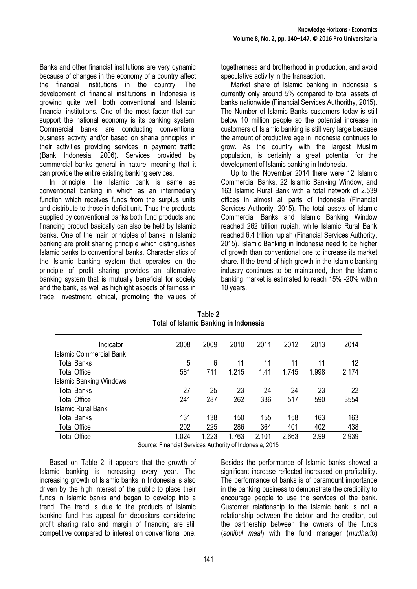Banks and other financial institutions are very dynamic because of changes in the economy of a country affect the financial institutions in the country. The development of financial institutions in Indonesia is growing quite well, both conventional and Islamic financial institutions. One of the most factor that can support the national economy is its banking system. Commercial banks are conducting conventional business activity and/or based on sharia principles in their activities providing services in payment traffic (Bank Indonesia, 2006). Services provided by commercial banks general in nature, meaning that it can provide the entire existing banking services.

In principle, the Islamic bank is same as conventional banking in which as an intermediary function which receives funds from the surplus units and distribute to those in deficit unit. Thus the products supplied by conventional banks both fund products and financing product basically can also be held by Islamic banks. One of the main principles of banks in Islamic banking are profit sharing principle which distinguishes Islamic banks to conventional banks. Characteristics of the Islamic banking system that operates on the principle of profit sharing provides an alternative banking system that is mutually beneficial for society and the bank, as well as highlight aspects of fairness in trade, investment, ethical, promoting the values of

togetherness and brotherhood in production, and avoid speculative activity in the transaction.

Market share of Islamic banking in Indonesia is currently only around 5% compared to total assets of banks nationwide (Financial Services Authorithy, 2015). The Number of Islamic Banks customers today is still below 10 million people so the potential increase in customers of Islamic banking is still very large because the amount of productive age in Indonesia continues to grow. As the country with the largest Muslim population, is certainly a great potential for the development of Islamic banking in Indonesia.

Up to the November 2014 there were 12 Islamic Commercial Banks, 22 Islamic Banking Window, and 163 Islamic Rural Bank with a total network of 2.539 offices in almost all parts of Indonesia (Financial Services Authority, 2015). The total assets of Islamic Commercial Banks and Islamic Banking Window reached 262 trillion rupiah, while Islamic Rural Bank reached 6.4 trillion rupiah (Financial Services Authority, 2015). Islamic Banking in Indonesia need to be higher of growth than conventional one to increase its market share. If the trend of high growth in the Islamic banking industry continues to be maintained, then the Islamic banking market is estimated to reach 15% -20% within 10 years.

| Indicator                      | 2008  | 2009  | 2010  | 2011  | 2012  | 2013  | 2014  |
|--------------------------------|-------|-------|-------|-------|-------|-------|-------|
| <b>Islamic Commercial Bank</b> |       |       |       |       |       |       |       |
| <b>Total Banks</b>             | 5     | 6     | 11    | 11    | 11    | 11    | 12    |
| <b>Total Office</b>            | 581   | 711   | 1.215 | 1.41  | 1.745 | 1.998 | 2.174 |
| <b>Islamic Banking Windows</b> |       |       |       |       |       |       |       |
| <b>Total Banks</b>             | 27    | 25    | 23    | 24    | 24    | 23    | 22    |
| <b>Total Office</b>            | 241   | 287   | 262   | 336   | 517   | 590   | 3554  |
| Islamic Rural Bank             |       |       |       |       |       |       |       |
| <b>Total Banks</b>             | 131   | 138   | 150   | 155   | 158   | 163   | 163   |
| <b>Total Office</b>            | 202   | 225   | 286   | 364   | 401   | 402   | 438   |
| <b>Total Office</b>            | 1.024 | 1.223 | 1.763 | 2.101 | 2.663 | 2.99  | 2.939 |
|                                |       |       |       |       |       |       |       |

**Table 2 Total of Islamic Banking in Indonesia**

Source: Financial Services Authority of Indonesia, 2015

Based on Table 2, it appears that the growth of Islamic banking is increasing every year. The increasing growth of Islamic banks in Indonesia is also driven by the high interest of the public to place their funds in Islamic banks and began to develop into a trend. The trend is due to the products of Islamic banking fund has appeal for depositors considering profit sharing ratio and margin of financing are still competitive compared to interest on conventional one.

Besides the performance of Islamic banks showed a significant increase reflected increased on profitability. The performance of banks is of paramount importance in the banking business to demonstrate the credibility to encourage people to use the services of the bank. Customer relationship to the Islamic bank is not a relationship between the debtor and the creditor, but the partnership between the owners of the funds (*sohibul maal*) with the fund manager (*mudharib*)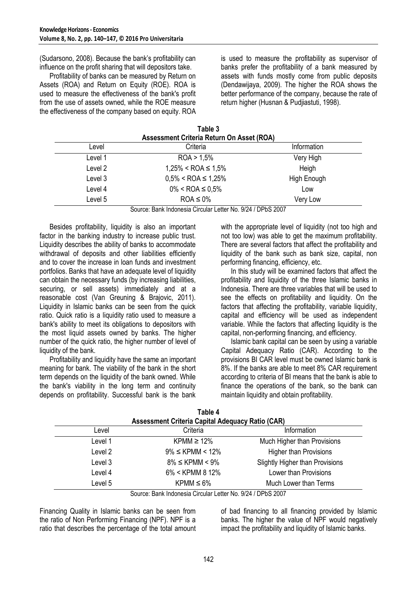(Sudarsono, 2008). Because the bank's profitability can influence on the profit sharing that will depositors take.

Profitability of banks can be measured by Return on Assets (ROA) and Return on Equity (ROE). ROA is used to measure the effectiveness of the bank's profit from the use of assets owned, while the ROE measure the effectiveness of the company based on equity. ROA is used to measure the profitability as supervisor of banks prefer the profitability of a bank measured by assets with funds mostly come from public deposits (Dendawijaya, 2009). The higher the ROA shows the better performance of the company, because the rate of return higher (Husnan & Pudjiastuti, 1998).

| Table 3                                   |  |
|-------------------------------------------|--|
| Assessment Criteria Return On Asset (ROA) |  |
| O <sub>right</sub> <sub>min</sub>         |  |

| Level   | Criteria                    | Information |  |
|---------|-----------------------------|-------------|--|
| Level 1 | ROA > 1.5%                  | Very High   |  |
| Level 2 | $1,25\% <$ ROA $\leq 1,5\%$ | Heigh       |  |
| Level 3 | $0.5\% <$ ROA $\leq 1.25\%$ | High Enough |  |
| Level 4 | $0\% <$ ROA $\leq 0.5\%$    | Low         |  |
| Level 5 | $ROA \leq 0\%$              | Very Low    |  |

Source: Bank Indonesia Circular Letter No. 9/24 / DPbS 2007

Besides profitability, liquidity is also an important factor in the banking industry to increase public trust. Liquidity describes the ability of banks to accommodate withdrawal of deposits and other liabilities efficiently and to cover the increase in loan funds and investment portfolios. Banks that have an adequate level of liquidity can obtain the necessary funds (by increasing liabilities, securing, or sell assets) immediately and at a reasonable cost (Van Greuning & Brajovic, 2011). Liquidity in Islamic banks can be seen from the quick ratio. Quick ratio is a liquidity ratio used to measure a bank's ability to meet its obligations to depositors with the most liquid assets owned by banks. The higher number of the quick ratio, the higher number of level of liquidity of the bank.

Profitability and liquidity have the same an important meaning for bank. The viability of the bank in the short term depends on the liquidity of the bank owned. While the bank's viability in the long term and continuity depends on profitability. Successful bank is the bank

with the appropriate level of liquidity (not too high and not too low) was able to get the maximum profitability. There are several factors that affect the profitability and liquidity of the bank such as bank size, capital, non performing financing, efficiency, etc.

In this study will be examined factors that affect the profitability and liquidity of the three Islamic banks in Indonesia. There are three variables that will be used to see the effects on profitability and liquidity. On the factors that affecting the profitability, variable liquidity, capital and efficiency will be used as independent variable. While the factors that affecting liquidity is the capital, non-performing financing, and efficiency.

Islamic bank capital can be seen by using a variable Capital Adequacy Ratio (CAR). According to the provisions BI CAR level must be owned Islamic bank is 8%. If the banks are able to meet 8% CAR requirement according to criteria of BI means that the bank is able to finance the operations of the bank, so the bank can maintain liquidity and obtain profitability.

| l able 4<br><b>Assessment Criteria Capital Adequacy Ratio (CAR)</b> |                       |                                        |  |  |  |
|---------------------------------------------------------------------|-----------------------|----------------------------------------|--|--|--|
| Level                                                               | Criteria              | Information                            |  |  |  |
| Level 1                                                             | KPMM $\geq$ 12%       | Much Higher than Provisions            |  |  |  |
| Level 2                                                             | $9\% \leq$ KPMM < 12% | <b>Higher than Provisions</b>          |  |  |  |
| Level 3                                                             | $8\% \leq$ KPMM < 9%  | <b>Slightly Higher than Provisions</b> |  |  |  |
| Level 4                                                             | 6% < KPMM 8 12%       | Lower than Provisions                  |  |  |  |
| Level 5                                                             | $KPMM \leq 6\%$       | Much Lower than Terms                  |  |  |  |

**Table 4** 

Source: Bank Indonesia Circular Letter No. 9/24 / DPbS 2007

Financing Quality in Islamic banks can be seen from the ratio of Non Performing Financing (NPF). NPF is a ratio that describes the percentage of the total amount of bad financing to all financing provided by Islamic banks. The higher the value of NPF would negatively impact the profitability and liquidity of Islamic banks.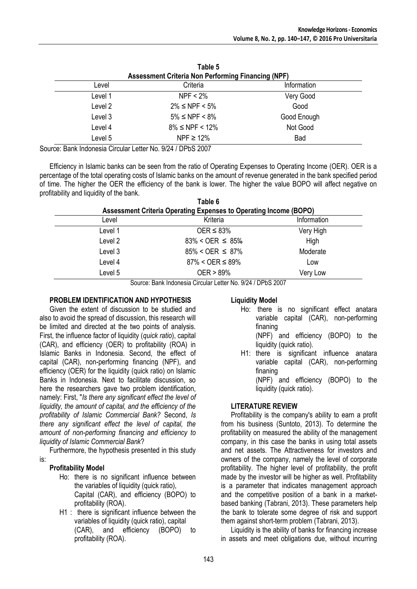|         | Table 5<br><b>Assessment Criteria Non Performing Financing (NPF)</b> |             |
|---------|----------------------------------------------------------------------|-------------|
| Level   | Criteria                                                             | Information |
| Level 1 | $NPF < 2\%$                                                          | Very Good   |
| Level 2 | $2\% \leq$ NPF < 5%                                                  | Good        |
| Level 3 | $5\% \leq$ NPF < 8%                                                  | Good Enough |
| Level 4 | $8\% \leq$ NPF < 12%                                                 | Not Good    |
| Level 5 | NPF $\geq 12\%$                                                      | Bad         |

Source: Bank Indonesia Circular Letter No. 9/24 / DPbS 2007

Efficiency in Islamic banks can be seen from the ratio of Operating Expenses to Operating Income (OER). OER is a percentage of the total operating costs of Islamic banks on the amount of revenue generated in the bank specified period of time. The higher the OER the efficiency of the bank is lower. The higher the value BOPO will affect negative on profitability and liquidity of the bank. **Table 6** 

|         | Table 6<br><b>Assessment Criteria Operating Expenses to Operating Income (BOPO)</b> |             |
|---------|-------------------------------------------------------------------------------------|-------------|
| Level   | Kriteria                                                                            | Information |
| Level 1 | $OER \leq 83\%$                                                                     | Very High   |
| Level 2 | $83\% < OER \leq 85\%$                                                              | High        |
| Level 3 | $85\% < OER \leq 87\%$                                                              | Moderate    |
| Level 4 | $87\% < OER \le 89\%$                                                               | Low         |
| Level 5 | $OER > 89\%$                                                                        | Very Low    |

Source: Bank Indonesia Circular Letter No. 9/24 / DPbS 2007

#### **PROBLEM IDENTIFICATION AND HYPOTHESIS**

Given the extent of discussion to be studied and also to avoid the spread of discussion, this research will be limited and directed at the two points of analysis. First, the influence factor of liquidity (*quick ratio*), capital (CAR), and efficiency (OER) to profitability (ROA) in Islamic Banks in Indonesia. Second, the effect of capital (CAR), non-performing financing (NPF), and efficiency (OER) for the liquidity (quick ratio) on Islamic Banks in Indonesia. Next to facilitate discussion, so here the researchers gave two problem identification, namely: First, "*Is there any significant effect the level of liquidity, the amount of capital, and the efficiency of the profitability of Islamic Commercial Bank?* Second, *Is there any significant effect the level of capital, the amount of non-performing financing and efficiency to liquidity of Islamic Commercial Bank*?

Furthermore, the hypothesis presented in this study is:

#### **Profitability Model**

- Ho: there is no significant influence between the variables of liquidity (quick ratio), Capital (CAR), and efficiency (BOPO) to profitability (ROA).
- H1 : there is significant influence between the variables of liquidity (quick ratio), capital (CAR), and efficiency (BOPO) to profitability (ROA).

#### **Liquidity Model**

- Ho: there is no significant effect anatara variable capital (CAR), non-performing finaning
	- (NPF) and efficiency (BOPO) to the liquidity (quick ratio).
- H1: there is significant influence anatara variable capital (CAR), non-performing finaning (NPF) and efficiency (BOPO) to the

liquidity (quick ratio).

#### **LITERATURE REVIEW**

Profitability is the company's ability to earn a profit from his business (Suntoto, 2013). To determine the profitability on measured the ability of the management company, in this case the banks in using total assets and net assets. The Attractiveness for investors and owners of the company, namely the level of corporate profitability. The higher level of profitability, the profit made by the investor will be higher as well. Profitability is a parameter that indicates management approach and the competitive position of a bank in a marketbased banking (Tabrani, 2013). These parameters help the bank to tolerate some degree of risk and support them against short-term problem (Tabrani, 2013).

Liquidity is the ability of banks for financing increase in assets and meet obligations due, without incurring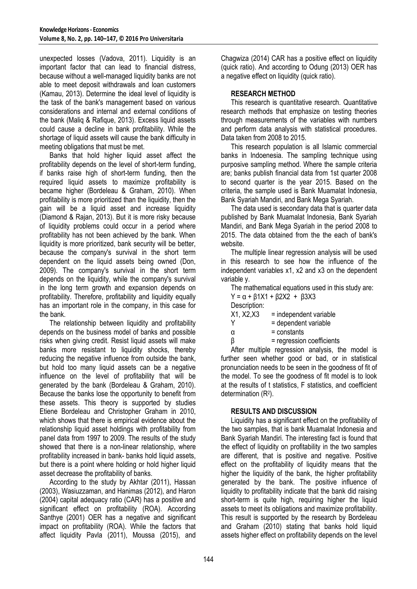unexpected losses (Vadova, 2011). Liquidity is an important factor that can lead to financial distress, because without a well-managed liquidity banks are not able to meet deposit withdrawals and loan customers (Kamau, 2013). Determine the ideal level of liquidity is the task of the bank's management based on various considerations and internal and external conditions of the bank (Maliq & Rafique, 2013). Excess liquid assets could cause a decline in bank profitability. While the shortage of liquid assets will cause the bank difficulty in meeting obligations that must be met.

Banks that hold higher liquid asset affect the profitability depends on the level of short-term funding, if banks raise high of short-term funding, then the required liquid assets to maximize profitability is became higher (Bordeleau & Graham, 2010). When profitability is more prioritized than the liquidity, then the gain will be a liquid asset and increase liquidity (Diamond & Rajan, 2013). But it is more risky because of liquidity problems could occur in a period where profitability has not been achieved by the bank. When liquidity is more prioritized, bank security will be better, because the company's survival in the short term dependent on the liquid assets being owned (Don, 2009). The company's survival in the short term depends on the liquidity, while the company's survival in the long term growth and expansion depends on profitability. Therefore, profitability and liquidity equally has an important role in the company, in this case for the bank.

The relationship between liquidity and profitability depends on the business model of banks and possible risks when giving credit. Resist liquid assets will make banks more resistant to liquidity shocks, thereby reducing the negative influence from outside the bank, but hold too many liquid assets can be a negative influence on the level of profitability that will be generated by the bank (Bordeleau & Graham, 2010). Because the banks lose the opportunity to benefit from these assets. This theory is supported by studies Etiene Bordeleau and Christopher Graham in 2010, which shows that there is empirical evidence about the relationship liquid asset holdings with profitability from panel data from 1997 to 2009. The results of the study showed that there is a non-linear relationship, where profitability increased in bank- banks hold liquid assets, but there is a point where holding or hold higher liquid asset decrease the profitability of banks.

According to the study by Akhtar (2011), Hassan (2003), Wasiuzzaman, and Hanimas (2012), and Haron (2004) capital adequacy ratio (CAR) has a positive and significant effect on profitability (ROA). According Santhye (2001) OER has a negative and significant impact on profitability (ROA). While the factors that affect liquidity Pavla (2011), Moussa (2015), and

Chagwiza (2014) CAR has a positive effect on liquidity (quick ratio). And according to Odung (2013) OER has a negative effect on liquidity (quick ratio).

## **RESEARCH METHOD**

This research is quantitative research. Quantitative research methods that emphasize on testing theories through measurements of the variables with numbers and perform data analysis with statistical procedures. Data taken from 2008 to 2015.

This research population is all Islamic commercial banks in Indoenesia. The sampling technique using purposive sampling method. Where the sample criteria are; banks publish financial data from 1st quarter 2008 to second quarter is the year 2015. Based on the criteria, the sample used is Bank Muamalat Indonesia, Bank Syariah Mandiri, and Bank Mega Syariah.

The data used is secondary data that is quarter data published by Bank Muamalat Indonesia, Bank Syariah Mandiri, and Bank Mega Syariah in the period 2008 to 2015. The data obtained from the the each of bank's website.

The multiple linear regression analysis will be used in this research to see how the influence of the independent variables x1, x2 and x3 on the dependent variable y.

The mathematical equations used in this study are:

|  | Y = α + β1X1 + β2X2 + β3X3 |  |
|--|----------------------------|--|
|  |                            |  |

Description:

| X1, X2, X3 |  | = independent variable |
|------------|--|------------------------|
|            |  |                        |

| Y | = dependent variable |
|---|----------------------|
|   |                      |

 $\alpha$  = constants

 $β = regression coefficients$ 

After multiple regression analysis, the model is further seen whether good or bad, or in statistical pronunciation needs to be seen in the goodness of fit of the model. To see the goodness of fit model is to look at the results of t statistics, F statistics, and coefficient determination (R<sup>2</sup>).

## **RESULTS AND DISCUSSION**

Liquidity has a significant effect on the profitability of the two samples, that is bank Muamalat Indonesia and Bank Syariah Mandiri. The interesting fact is found that the effect of liquidity on profitability in the two samples are different, that is positive and negative. Positive effect on the profitability of liquidity means that the higher the liquidity of the bank, the higher profitability generated by the bank. The positive influence of liquidity to profitability indicate that the bank did raising short-term is quite high, requiring higher the liquid assets to meet its obligations and maximize profitability. This result is supported by the research by Bordeleau and Graham (2010) stating that banks hold liquid assets higher effect on profitability depends on the level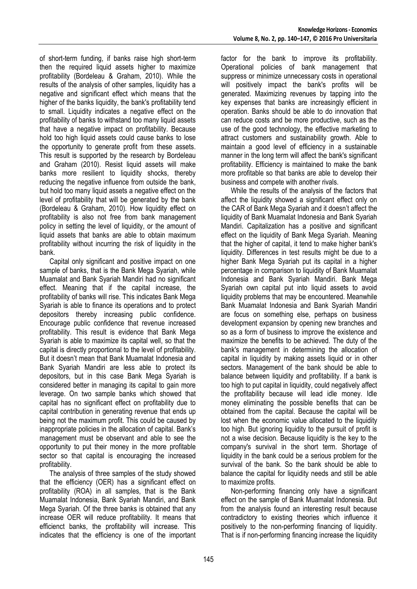of short-term funding, if banks raise high short-term then the required liquid assets higher to maximize profitability (Bordeleau & Graham, 2010). While the results of the analysis of other samples, liquidity has a negative and significant effect which means that the higher of the banks liquidity, the bank's profitability tend to small. Liquidity indicates a negative effect on the profitability of banks to withstand too many liquid assets that have a negative impact on profitability. Because hold too high liquid assets could cause banks to lose the opportunity to generate profit from these assets. This result is supported by the research by Bordeleau and Graham (2010). Resist liquid assets will make banks more resilient to liquidity shocks, thereby reducing the negative influence from outside the bank, but hold too many liquid assets a negative effect on the level of profitability that will be generated by the bank (Bordeleau & Graham, 2010). How liquidity effect on profitability is also not free from bank management policy in setting the level of liquidity, or the amount of liquid assets that banks are able to obtain maximum profitability without incurring the risk of liquidity in the bank.

Capital only significant and positive impact on one sample of banks, that is the Bank Mega Syariah, while Muamalat and Bank Syariah Mandiri had no significant effect. Meaning that if the capital increase, the profitability of banks will rise. This indicates Bank Mega Syariah is able to finance its operations and to protect depositors thereby increasing public confidence. Encourage public confidence that revenue increased profitability. This result is evidence that Bank Mega Syariah is able to maximize its capital well, so that the capital is directly proportional to the level of profitability. But it doesn't mean that Bank Muamalat Indonesia and Bank Syariah Mandiri are less able to protect its depositors, but in this case Bank Mega Syariah is considered better in managing its capital to gain more leverage. On two sample banks which showed that capital has no significant effect on profitability due to capital contribution in generating revenue that ends up being not the maximum profit. This could be caused by inappropriate policies in the allocation of capital. Bank's management must be observant and able to see the opportunity to put their money in the more profitable sector so that capital is encouraging the increased profitability.

The analysis of three samples of the study showed that the efficiency (OER) has a significant effect on profitability (ROA) in all samples, that is the Bank Muamalat Indonesia, Bank Syariah Mandiri, and Bank Mega Syariah. Of the three banks is obtained that any increase OER will reduce profitability. It means that efficienct banks, the profitability will increase. This indicates that the efficiency is one of the important factor for the bank to improve its profitability. Operational policies of bank management that suppress or minimize unnecessary costs in operational will positively impact the bank's profits will be generated. Maximizing revenues by tapping into the key expenses that banks are increasingly efficient in operation. Banks should be able to do innovation that can reduce costs and be more productive, such as the use of the good technology, the effective marketing to attract customers and sustainability growth. Able to maintain a good level of efficiency in a sustainable manner in the long term will affect the bank's significant profitability. Efficiency is maintained to make the bank more profitable so that banks are able to develop their business and compete with another rivals.

While the results of the analysis of the factors that affect the liquidity showed a significant effect only on the CAR of Bank Mega Syariah and it doesn't affect the liquidity of Bank Muamalat Indonesia and Bank Syariah Mandiri. Capitalization has a positive and significant effect on the liquidity of Bank Mega Syariah. Meaning that the higher of capital, it tend to make higher bank's liquidity. Differences in test results might be due to a higher Bank Mega Syariah put its capital in a higher percentage in comparison to liquidity of Bank Muamalat Indonesia and Bank Syariah Mandiri. Bank Mega Syariah own capital put into liquid assets to avoid liquidity problems that may be encountered. Meanwhile Bank Muamalat Indonesia and Bank Syariah Mandiri are focus on something else, perhaps on business development expansion by opening new branches and so as a form of business to improve the existence and maximize the benefits to be achieved. The duty of the bank's management in determining the allocation of capital in liquidity by making assets liquid or in other sectors. Management of the bank should be able to balance between liquidity and profitability. If a bank is too high to put capital in liquidity, could negatively affect the profitability because will lead idle money. Idle money eliminating the possible benefits that can be obtained from the capital. Because the capital will be lost when the economic value allocated to the liquidity too high. But ignoring liquidity to the pursuit of profit is not a wise decision. Because liquidity is the key to the company's survival in the short term. Shortage of liquidity in the bank could be a serious problem for the survival of the bank. So the bank should be able to balance the capital for liquidity needs and still be able to maximize profits.

Non-performing financing only have a significant effect on the sample of Bank Muamalat Indonesia. But from the analysis found an interesting result because contradictory to existing theories which influence it positively to the non-performing financing of liquidity. That is if non-performing financing increase the liquidity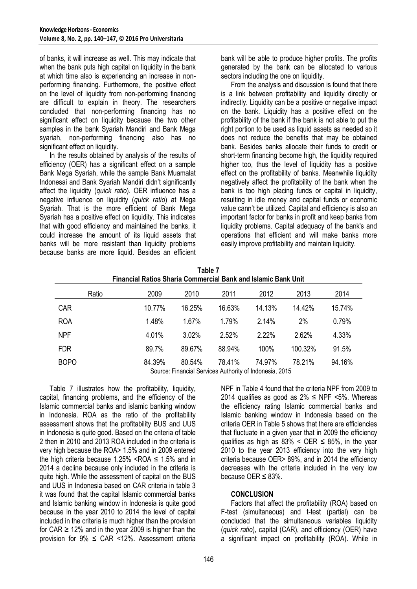of banks, it will increase as well. This may indicate that when the bank puts high capital on liquidity in the bank at which time also is experiencing an increase in nonperforming financing. Furthermore, the positive effect on the level of liquidity from non-performing financing are difficult to explain in theory. The researchers concluded that non-performing financing has no significant effect on liquidity because the two other samples in the bank Syariah Mandiri and Bank Mega syariah, non-performing financing also has no significant effect on liquidity.

In the results obtained by analysis of the results of efficiency (OER) has a significant effect on a sample Bank Mega Syariah, while the sample Bank Muamalat Indonesai and Bank Syariah Mandiri didn't significantly affect the liquidity (*quick ratio*). OER influence has a negative influence on liquidity (*quick ratio*) at Mega Syariah. That is the more efficient of Bank Mega Syariah has a positive effect on liquidity. This indicates that with good efficiency and maintained the banks, it could increase the amount of its liquid assets that banks will be more resistant than liquidity problems because banks are more liquid. Besides an efficient bank will be able to produce higher profits. The profits generated by the bank can be allocated to various sectors including the one on liquidity.

From the analysis and discussion is found that there is a link between profitability and liquidity directly or indirectly. Liquidity can be a positive or negative impact on the bank. Liquidity has a positive effect on the profitability of the bank if the bank is not able to put the right portion to be used as liquid assets as needed so it does not reduce the benefits that may be obtained bank. Besides banks allocate their funds to credit or short-term financing become high, the liquidity required higher too, thus the level of liquidity has a positive effect on the profitability of banks. Meanwhile liquidity negatively affect the profitability of the bank when the bank is too high placing funds or capital in liquidity, resulting in idle money and capital funds or economic value cann't be utilized. Capital and efficiency is also an important factor for banks in profit and keep banks from liquidity problems. Capital adequacy of the bank's and operations that efficient and will make banks more easily improve profitability and maintain liquidity.

| <b>Financial Ratios Sharia Commercial Bank and Islamic Bank Unit</b> |        |        |        |             |            |        |
|----------------------------------------------------------------------|--------|--------|--------|-------------|------------|--------|
| Ratio                                                                | 2009   | 2010   | 2011   | 2012        | 2013       | 2014   |
| <b>CAR</b>                                                           | 10.77% | 16.25% | 16.63% | 14.13%      | 14.42%     | 15.74% |
| <b>ROA</b>                                                           | 1.48%  | 1.67%  | 1.79%  | 2.14%       | 2%         | 0.79%  |
| <b>NPF</b>                                                           | 4.01%  | 3.02%  | 2.52%  | 2.22%       | 2.62%      | 4.33%  |
| <b>FDR</b>                                                           | 89.7%  | 89.67% | 88.94% | 100%        | $100.32\%$ | 91.5%  |
| <b>BOPO</b>                                                          | 84.39% | 80.54% | 78.41% | 74.97%<br>. | 78.21%     | 94.16% |

| Table 7                                                              |
|----------------------------------------------------------------------|
| <b>Financial Ratios Sharia Commercial Bank and Islamic Bank Unit</b> |

Source: Financial Services Authority of Indonesia, 2015

Table 7 illustrates how the profitability, liquidity, capital, financing problems, and the efficiency of the Islamic commercial banks and islamic banking window in Indonesia. ROA as the ratio of the profitability assessment shows that the profitability BUS and UUS in Indonesia is quite good. Based on the criteria of table 2 then in 2010 and 2013 ROA included in the criteria is very high because the ROA> 1.5% and in 2009 entered the high criteria because 1.25% <ROA  $\leq$  1.5% and in 2014 a decline because only included in the criteria is quite high. While the assessment of capital on the BUS and UUS in Indonesia based on CAR criteria in table 3 it was found that the capital Islamic commercial banks and Islamic banking window in Indonesia is quite good because in the year 2010 to 2014 the level of capital included in the criteria is much higher than the provision for CAR  $\geq$  12% and in the year 2009 is higher than the provision for  $9\% \leq \text{CAR} \leq 12\%$ . Assessment criteria

NPF in Table 4 found that the criteria NPF from 2009 to 2014 qualifies as good as  $2\% \leq$  NPF <5%. Whereas the efficiency rating Islamic commercial banks and Islamic banking window in Indonesia based on the criteria OER in Table 5 shows that there are efficiencies that fluctuate in a given year that in 2009 the efficiency qualifies as high as  $83\% < OER \leq 85\%$ , in the year 2010 to the year 2013 efficiency into the very high criteria because OER> 89%, and in 2014 the efficiency decreases with the criteria included in the very low because OER  $\leq$  83%.

## **CONCLUSION**

Factors that affect the profitability (ROA) based on F-test (simultaneous) and t-test (partial) can be concluded that the simultaneous variables liquidity (*quick ratio*), capital (CAR), and efficiency (OER) have a significant impact on profitability (ROA). While in